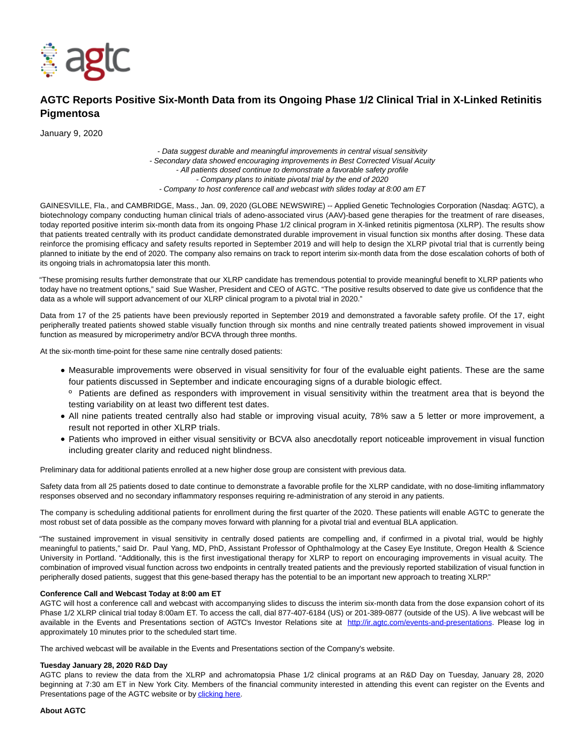

# **AGTC Reports Positive Six-Month Data from its Ongoing Phase 1/2 Clinical Trial in X-Linked Retinitis Pigmentosa**

January 9, 2020

- Data suggest durable and meaningful improvements in central visual sensitivity - Secondary data showed encouraging improvements in Best Corrected Visual Acuity - All patients dosed continue to demonstrate a favorable safety profile - Company plans to initiate pivotal trial by the end of 2020 - Company to host conference call and webcast with slides today at 8:00 am ET

GAINESVILLE, Fla., and CAMBRIDGE, Mass., Jan. 09, 2020 (GLOBE NEWSWIRE) -- Applied Genetic Technologies Corporation (Nasdaq: AGTC), a biotechnology company conducting human clinical trials of adeno-associated virus (AAV)-based gene therapies for the treatment of rare diseases, today reported positive interim six-month data from its ongoing Phase 1/2 clinical program in X-linked retinitis pigmentosa (XLRP). The results show that patients treated centrally with its product candidate demonstrated durable improvement in visual function six months after dosing. These data reinforce the promising efficacy and safety results reported in September 2019 and will help to design the XLRP pivotal trial that is currently being planned to initiate by the end of 2020. The company also remains on track to report interim six-month data from the dose escalation cohorts of both of its ongoing trials in achromatopsia later this month.

"These promising results further demonstrate that our XLRP candidate has tremendous potential to provide meaningful benefit to XLRP patients who today have no treatment options," said Sue Washer, President and CEO of AGTC. "The positive results observed to date give us confidence that the data as a whole will support advancement of our XLRP clinical program to a pivotal trial in 2020."

Data from 17 of the 25 patients have been previously reported in September 2019 and demonstrated a favorable safety profile. Of the 17, eight peripherally treated patients showed stable visually function through six months and nine centrally treated patients showed improvement in visual function as measured by microperimetry and/or BCVA through three months.

At the six-month time-point for these same nine centrally dosed patients:

- Measurable improvements were observed in visual sensitivity for four of the evaluable eight patients. These are the same four patients discussed in September and indicate encouraging signs of a durable biologic effect.
- <sup>o</sup> Patients are defined as responders with improvement in visual sensitivity within the treatment area that is beyond the testing variability on at least two different test dates.
- All nine patients treated centrally also had stable or improving visual acuity, 78% saw a 5 letter or more improvement, a result not reported in other XLRP trials.
- Patients who improved in either visual sensitivity or BCVA also anecdotally report noticeable improvement in visual function including greater clarity and reduced night blindness.

Preliminary data for additional patients enrolled at a new higher dose group are consistent with previous data.

Safety data from all 25 patients dosed to date continue to demonstrate a favorable profile for the XLRP candidate, with no dose-limiting inflammatory responses observed and no secondary inflammatory responses requiring re-administration of any steroid in any patients.

The company is scheduling additional patients for enrollment during the first quarter of the 2020. These patients will enable AGTC to generate the most robust set of data possible as the company moves forward with planning for a pivotal trial and eventual BLA application.

"The sustained improvement in visual sensitivity in centrally dosed patients are compelling and, if confirmed in a pivotal trial, would be highly meaningful to patients," said Dr. Paul Yang, MD, PhD, Assistant Professor of Ophthalmology at the Casey Eye Institute, Oregon Health & Science University in Portland. "Additionally, this is the first investigational therapy for XLRP to report on encouraging improvements in visual acuity. The combination of improved visual function across two endpoints in centrally treated patients and the previously reported stabilization of visual function in peripherally dosed patients, suggest that this gene-based therapy has the potential to be an important new approach to treating XLRP."

#### **Conference Call and Webcast Today at 8:00 am ET**

AGTC will host a conference call and webcast with accompanying slides to discuss the interim six-month data from the dose expansion cohort of its Phase 1/2 XLRP clinical trial today 8:00am ET. To access the call, dial 877-407-6184 (US) or 201-389-0877 (outside of the US). A live webcast will be available in the Events and Presentations section of AGTC's Investor Relations site at [http://ir.agtc.com/events-and-presentations.](https://www.globenewswire.com/Tracker?data=ECjIFAPie3jJVDXCYX0y3hdOHPCfihYVbln9VamHLqEn7HIBI1aIlOU8PdUtmeVk_dk149aKsM6y1UEP6t8kOe8qngURVWIqzVXEcfIQHumyRiWCPfCdhESCdtriNnre4n4XmWJlUpMDPRGoiiXIjuNsbmA8wxL91T7tEnchwA2CS4WdivHaMP3tJ1kdt2sBht4Fz1QhBaUdbnnl0WiieFjG2t9nYnNNbA93l-UBqPG1n2yNnchGQ4NET5c-2Z8f4DzA2aoUimLqrpvQmbH4BCHIIz6GWabj3ZP-rt8LrvyWKu6T_0uQnvRds9xzaGwl5xjnwX6WORLgL85Co5Pf0Ps5D2In87XM_7M6sc3xskQ=) Please log in approximately 10 minutes prior to the scheduled start time.

The archived webcast will be available in the Events and Presentations section of the Company's website.

#### **Tuesday January 28, 2020 R&D Day**

AGTC plans to review the data from the XLRP and achromatopsia Phase 1/2 clinical programs at an R&D Day on Tuesday, January 28, 2020 beginning at 7:30 am ET in New York City. Members of the financial community interested in attending this event can register on the Events and Presentations page of the AGTC website or by **clicking here**.

# **About AGTC**